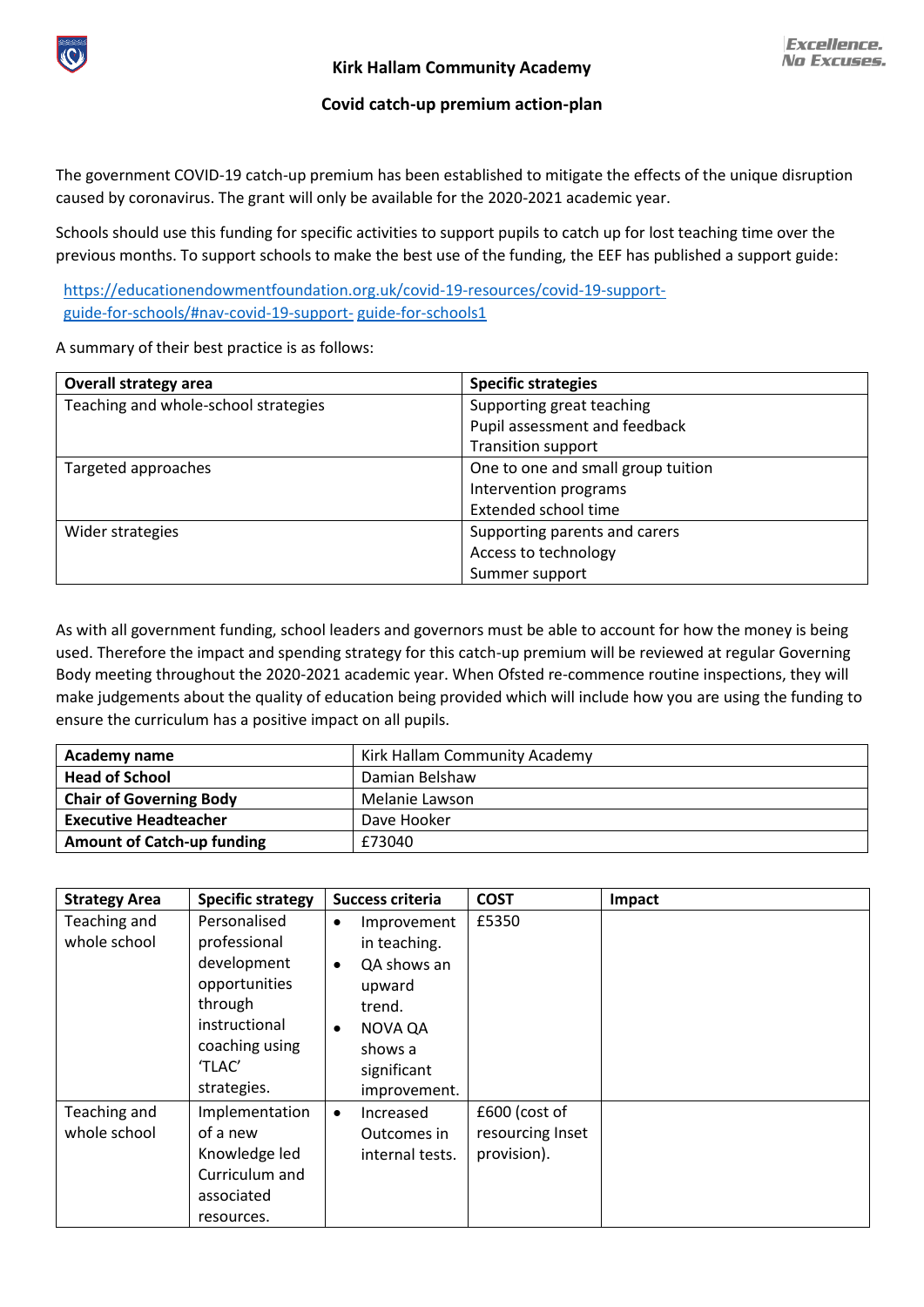

**Excellence. No Excuses.** 

## **Covid catch-up premium action-plan**

The government COVID-19 catch-up premium has been established to mitigate the effects of the unique disruption caused by coronavirus. The grant will only be available for the 2020-2021 academic year.

Schools should use this funding for specific activities to support pupils to catch up for lost teaching time over the previous months. To support schools to make the best use of the funding, the EEF has published a support guide:

[https://educationendowmentfoundation.org.uk/covid-19-resources/covid-19-support](https://educationendowmentfoundation.org.uk/covid-19-resources/covid-19-support-guide-for-schools/#nav-covid-19-support-)[guide-for-schools/#nav-covid-19-support-](https://educationendowmentfoundation.org.uk/covid-19-resources/covid-19-support-guide-for-schools/#nav-covid-19-support-) [guide-for-schools1](https://educationendowmentfoundation.org.uk/covid-19-resources/covid-19-support-guide-for-schools/#nav-covid-19-support-guide-for-schools1)

A summary of their best practice is as follows:

| <b>Overall strategy area</b>         | <b>Specific strategies</b>         |
|--------------------------------------|------------------------------------|
| Teaching and whole-school strategies | Supporting great teaching          |
|                                      | Pupil assessment and feedback      |
|                                      | <b>Transition support</b>          |
| Targeted approaches                  | One to one and small group tuition |
|                                      | Intervention programs              |
|                                      | Extended school time               |
| Wider strategies                     | Supporting parents and carers      |
|                                      | Access to technology               |
|                                      | Summer support                     |

As with all government funding, school leaders and governors must be able to account for how the money is being used. Therefore the impact and spending strategy for this catch-up premium will be reviewed at regular Governing Body meeting throughout the 2020-2021 academic year. When Ofsted re-commence routine inspections, they will make judgements about the quality of education being provided which will include how you are using the funding to ensure the curriculum has a positive impact on all pupils.

| Academy name                      | Kirk Hallam Community Academy |
|-----------------------------------|-------------------------------|
| <b>Head of School</b>             | Damian Belshaw                |
| <b>Chair of Governing Body</b>    | Melanie Lawson                |
| <b>Executive Headteacher</b>      | Dave Hooker                   |
| <b>Amount of Catch-up funding</b> | £73040                        |

| <b>Strategy Area</b> | <b>Specific strategy</b> | Success criteria         | <b>COST</b>      | Impact |
|----------------------|--------------------------|--------------------------|------------------|--------|
| Teaching and         | Personalised             | Improvement<br>$\bullet$ | £5350            |        |
| whole school         | professional             | in teaching.             |                  |        |
|                      | development              | QA shows an<br>$\bullet$ |                  |        |
|                      | opportunities            | upward                   |                  |        |
|                      | through                  | trend.                   |                  |        |
|                      | instructional            | NOVA QA<br>$\bullet$     |                  |        |
|                      | coaching using           | shows a                  |                  |        |
|                      | 'TLAC'                   | significant              |                  |        |
|                      | strategies.              | improvement.             |                  |        |
| Teaching and         | Implementation           | Increased<br>$\bullet$   | £600 (cost of    |        |
| whole school         | of a new                 | Outcomes in              | resourcing Inset |        |
|                      | Knowledge led            | internal tests.          | provision).      |        |
|                      | Curriculum and           |                          |                  |        |
|                      | associated               |                          |                  |        |
|                      | resources.               |                          |                  |        |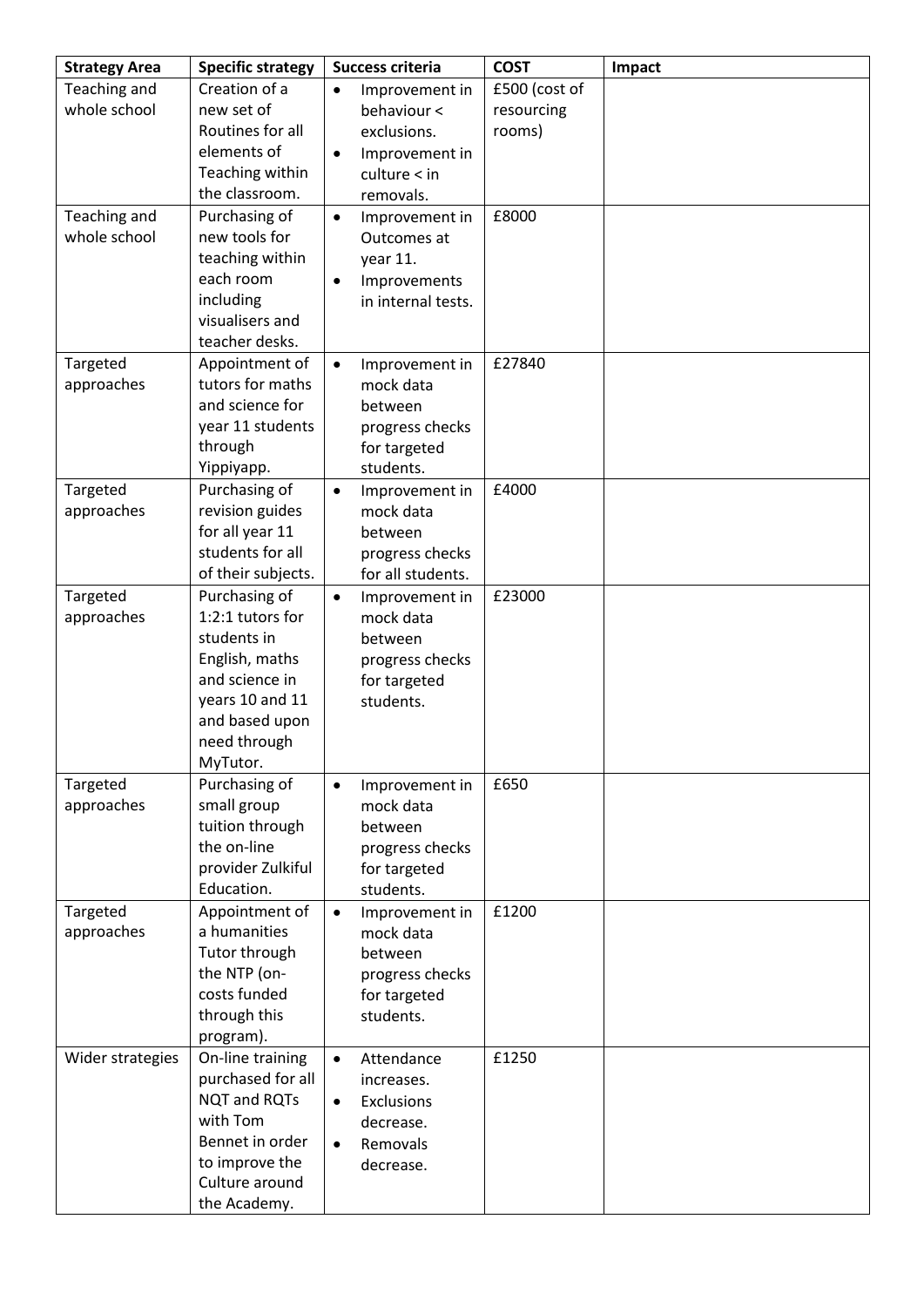| <b>Strategy Area</b> | <b>Specific strategy</b>         | <b>Success criteria</b> |                                 | <b>COST</b>   | Impact |
|----------------------|----------------------------------|-------------------------|---------------------------------|---------------|--------|
| Teaching and         | Creation of a                    | $\bullet$               | Improvement in                  | £500 (cost of |        |
| whole school         | new set of                       |                         | behaviour <                     | resourcing    |        |
|                      | Routines for all                 |                         | exclusions.                     | rooms)        |        |
|                      | elements of                      | $\bullet$               | Improvement in                  |               |        |
|                      | Teaching within                  |                         | culture < in                    |               |        |
|                      | the classroom.                   |                         | removals.                       |               |        |
| Teaching and         | Purchasing of                    | $\bullet$               | Improvement in                  | £8000         |        |
| whole school         | new tools for                    |                         | Outcomes at                     |               |        |
|                      | teaching within                  |                         | year 11.                        |               |        |
|                      | each room                        | $\bullet$               | Improvements                    |               |        |
|                      | including                        |                         | in internal tests.              |               |        |
|                      | visualisers and                  |                         |                                 |               |        |
|                      | teacher desks.                   |                         |                                 |               |        |
| Targeted             | Appointment of                   | $\bullet$               | Improvement in                  | £27840        |        |
| approaches           | tutors for maths                 |                         | mock data                       |               |        |
|                      | and science for                  |                         | between                         |               |        |
|                      | year 11 students                 |                         | progress checks                 |               |        |
|                      | through<br>Yippiyapp.            |                         | for targeted<br>students.       |               |        |
| Targeted             | Purchasing of                    | $\bullet$               | Improvement in                  | £4000         |        |
| approaches           | revision guides                  |                         | mock data                       |               |        |
|                      | for all year 11                  |                         | between                         |               |        |
|                      | students for all                 |                         | progress checks                 |               |        |
|                      | of their subjects.               |                         | for all students.               |               |        |
| Targeted             | Purchasing of                    | $\bullet$               | Improvement in                  | £23000        |        |
| approaches           | 1:2:1 tutors for                 |                         | mock data                       |               |        |
|                      | students in                      |                         | between                         |               |        |
|                      | English, maths                   |                         | progress checks                 |               |        |
|                      | and science in                   |                         | for targeted                    |               |        |
|                      | years 10 and 11                  |                         | students.                       |               |        |
|                      | and based upon                   |                         |                                 |               |        |
|                      | need through                     |                         |                                 |               |        |
|                      | MyTutor.                         |                         |                                 |               |        |
| Targeted             | Purchasing of                    | $\bullet$               | Improvement in                  | £650          |        |
| approaches           | small group                      |                         | mock data                       |               |        |
|                      | tuition through<br>the on-line   |                         | between                         |               |        |
|                      | provider Zulkiful                |                         | progress checks<br>for targeted |               |        |
|                      | Education.                       |                         | students.                       |               |        |
| Targeted             | Appointment of                   | $\bullet$               | Improvement in                  | £1200         |        |
| approaches           | a humanities                     |                         | mock data                       |               |        |
|                      | Tutor through                    |                         | between                         |               |        |
|                      | the NTP (on-                     |                         | progress checks                 |               |        |
|                      | costs funded                     |                         | for targeted                    |               |        |
|                      | through this                     |                         | students.                       |               |        |
|                      | program).                        |                         |                                 |               |        |
| Wider strategies     | On-line training                 | $\bullet$               | Attendance                      | £1250         |        |
|                      | purchased for all                |                         | increases.                      |               |        |
|                      | NQT and RQTs                     | $\bullet$               | Exclusions                      |               |        |
|                      | with Tom                         |                         | decrease.                       |               |        |
|                      | Bennet in order                  | $\bullet$               | Removals                        |               |        |
|                      | to improve the<br>Culture around |                         | decrease.                       |               |        |
|                      | the Academy.                     |                         |                                 |               |        |